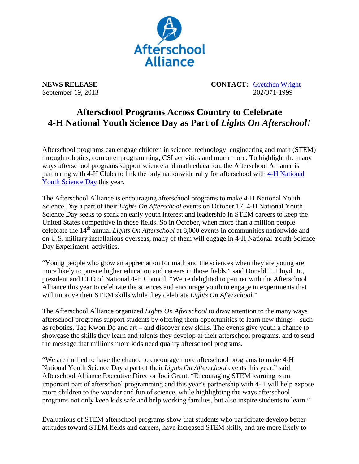

**NEWS RELEASE CONTACT:** Gretchen Wright September 19, 2013 202/371-1999

## **Afterschool Programs Across Country to Celebrate**  4-H National Youth Science Day as Part of *Lights On Afterschool!*

Afterschool programs can engage children in science, technology, engineering and math (STEM) through robotics, computer programming, CSI activities and much more. To highlight the many ways afterschool programs support science and math education, the Afterschool Alliance is partnering with 4-H Clubs to link the only nationwide rally for afterschool with 4-H National Youth Science Day this year.

The Afterschool Alliance is encouraging afterschool programs to make 4-H National Youth Science Day a part of their *Lights On Afterschool* events on October 17. 4-H National Youth Science Day seeks to spark an early youth interest and leadership in STEM careers to keep the United States competitive in those fields. So in October, when more than a million people celebrate the 14th annual *Lights On Afterschool* at 8,000 events in communities nationwide and on U.S. military installations overseas, many of them will engage in 4-H National Youth Science Day Experiment activities.

"Young people who grow an appreciation for math and the sciences when they are young are more likely to pursue higher education and careers in those fields," said Donald T. Floyd, Jr., president and CEO of National 4-H Council. "We're delighted to partner with the Afterschool Alliance this year to celebrate the sciences and encourage youth to engage in experiments that will improve their STEM skills while they celebrate *Lights On Afterschool*."

The Afterschool Alliance organized *Lights On Afterschool* to draw attention to the many ways afterschool programs support students by offering them opportunities to learn new things – such as robotics, Tae Kwon Do and art – and discover new skills. The events give youth a chance to showcase the skills they learn and talents they develop at their afterschool programs, and to send the message that millions more kids need quality afterschool programs.

"We are thrilled to have the chance to encourage more afterschool programs to make 4-H National Youth Science Day a part of their *Lights On Afterschool* events this year," said Afterschool Alliance Executive Director Jodi Grant. "Encouraging STEM learning is an important part of afterschool programming and this year's partnership with 4-H will help expose more children to the wonder and fun of science, while highlighting the ways afterschool programs not only keep kids safe and help working families, but also inspire students to learn."

Evaluations of STEM afterschool programs show that students who participate develop better attitudes toward STEM fields and careers, have increased STEM skills, and are more likely to